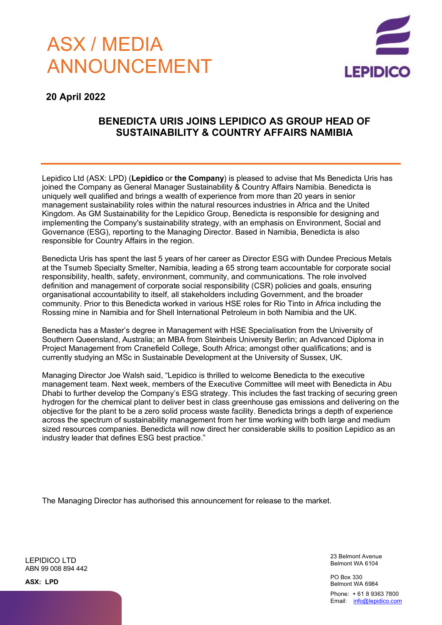# ASX / MEDIA ANNOUNCEMENT



### **20 April 2022**

## **BENEDICTA URIS JOINS LEPIDICO AS GROUP HEAD OF SUSTAINABILITY & COUNTRY AFFAIRS NAMIBIA**

Lepidico Ltd (ASX: LPD) (**Lepidico** or **the Company**) is pleased to advise that Ms Benedicta Uris has joined the Company as General Manager Sustainability & Country Affairs Namibia. Benedicta is uniquely well qualified and brings a wealth of experience from more than 20 years in senior management sustainability roles within the natural resources industries in Africa and the United Kingdom. As GM Sustainability for the Lepidico Group, Benedicta is responsible for designing and implementing the Company's sustainability strategy, with an emphasis on Environment, Social and Governance (ESG), reporting to the Managing Director. Based in Namibia, Benedicta is also responsible for Country Affairs in the region.

Benedicta Uris has spent the last 5 years of her career as Director ESG with Dundee Precious Metals at the Tsumeb Specialty Smelter, Namibia, leading a 65 strong team accountable for corporate social responsibility, health, safety, environment, community, and communications. The role involved definition and management of corporate social responsibility (CSR) policies and goals, ensuring organisational accountability to itself, all stakeholders including Government, and the broader community. Prior to this Benedicta worked in various HSE roles for Rio Tinto in Africa including the Rossing mine in Namibia and for Shell International Petroleum in both Namibia and the UK.

Benedicta has a Master's degree in Management with HSE Specialisation from the University of Southern Queensland, Australia; an MBA from Steinbeis University Berlin; an Advanced Diploma in Project Management from Cranefield College, South Africa; amongst other qualifications; and is currently studying an MSc in Sustainable Development at the University of Sussex, UK.

Managing Director Joe Walsh said, "Lepidico is thrilled to welcome Benedicta to the executive management team. Next week, members of the Executive Committee will meet with Benedicta in Abu Dhabi to further develop the Company's ESG strategy. This includes the fast tracking of securing green hydrogen for the chemical plant to deliver best in class greenhouse gas emissions and delivering on the objective for the plant to be a zero solid process waste facility. Benedicta brings a depth of experience across the spectrum of sustainability management from her time working with both large and medium sized resources companies. Benedicta will now direct her considerable skills to position Lepidico as an industry leader that defines ESG best practice."

The Managing Director has authorised this announcement for release to the market.

LEPIDICO LTD ABN 99 008 894 442 23 Belmont Avenue Belmont WA 6104

PO Box 330 Belmont WA 6984

Phone: + 61 8 9363 7800 Email: [info@lepidico.com](mailto:info@lepidico.com)

**ASX: LPD**